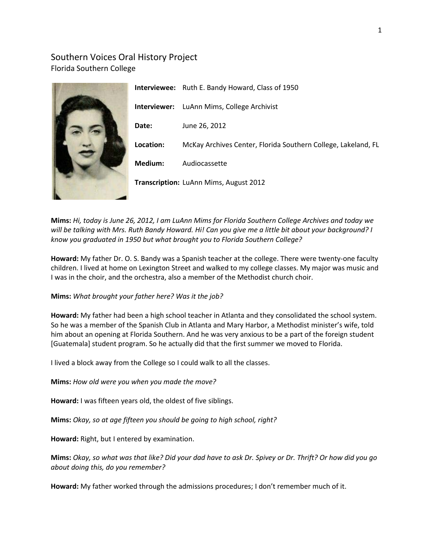# Southern Voices Oral History Project Florida Southern College



**Mims:** *Hi, today is June 26, 2012, I am LuAnn Mims for Florida Southern College Archives and today we will be talking with Mrs. Ruth Bandy Howard. Hi! Can you give me a little bit about your background? I know you graduated in 1950 but what brought you to Florida Southern College?*

**Howard:** My father Dr. O. S. Bandy was a Spanish teacher at the college. There were twenty-one faculty children. I lived at home on Lexington Street and walked to my college classes. My major was music and I was in the choir, and the orchestra, also a member of the Methodist church choir.

## **Mims:** *What brought your father here? Was it the job?*

**Howard:** My father had been a high school teacher in Atlanta and they consolidated the school system. So he was a member of the Spanish Club in Atlanta and Mary Harbor, a Methodist minister's wife, told him about an opening at Florida Southern. And he was very anxious to be a part of the foreign student [Guatemala] student program. So he actually did that the first summer we moved to Florida.

I lived a block away from the College so I could walk to all the classes.

**Mims:** *How old were you when you made the move?*

**Howard:** I was fifteen years old, the oldest of five siblings.

**Mims:** *Okay, so at age fifteen you should be going to high school, right?*

**Howard:** Right, but I entered by examination.

**Mims:** *Okay, so what was that like? Did your dad have to ask Dr. Spivey or Dr. Thrift? Or how did you go about doing this, do you remember?*

**Howard:** My father worked through the admissions procedures; I don't remember much of it.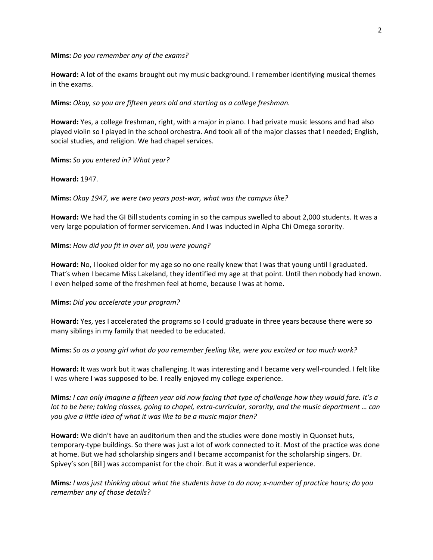**Mims:** *Do you remember any of the exams?*

**Howard:** A lot of the exams brought out my music background. I remember identifying musical themes in the exams.

**Mims:** *Okay, so you are fifteen years old and starting as a college freshman.*

**Howard:** Yes, a college freshman, right, with a major in piano. I had private music lessons and had also played violin so I played in the school orchestra. And took all of the major classes that I needed; English, social studies, and religion. We had chapel services.

**Mims:** *So you entered in? What year?*

**Howard:** 1947.

**Mims:** *Okay 1947, we were two years post-war, what was the campus like?*

**Howard:** We had the GI Bill students coming in so the campus swelled to about 2,000 students. It was a very large population of former servicemen. And I was inducted in Alpha Chi Omega sorority.

#### **Mims:** *How did you fit in over all, you were young?*

**Howard:** No, I looked older for my age so no one really knew that I was that young until I graduated. That's when I became Miss Lakeland, they identified my age at that point. Until then nobody had known. I even helped some of the freshmen feel at home, because I was at home.

**Mims:** *Did you accelerate your program?*

**Howard:** Yes, yes I accelerated the programs so I could graduate in three years because there were so many siblings in my family that needed to be educated.

**Mims:** *So as a young girl what do you remember feeling like, were you excited or too much work?*

**Howard:** It was work but it was challenging. It was interesting and I became very well-rounded. I felt like I was where I was supposed to be. I really enjoyed my college experience.

**Mims***: I can only imagine a fifteen year old now facing that type of challenge how they would fare. It's a lot to be here; taking classes, going to chapel, extra-curricular, sorority, and the music department … can you give a little idea of what it was like to be a music major then?*

**Howard:** We didn't have an auditorium then and the studies were done mostly in Quonset huts, temporary-type buildings. So there was just a lot of work connected to it. Most of the practice was done at home. But we had scholarship singers and I became accompanist for the scholarship singers. Dr. Spivey's son [Bill] was accompanist for the choir. But it was a wonderful experience.

**Mims***: I was just thinking about what the students have to do now; x-number of practice hours; do you remember any of those details?*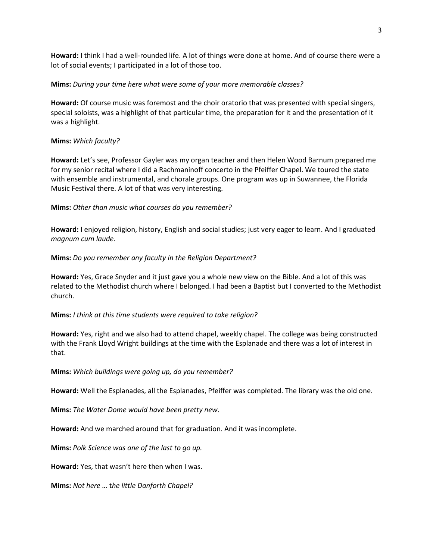**Howard:** I think I had a well-rounded life. A lot of things were done at home. And of course there were a lot of social events; I participated in a lot of those too.

### **Mims:** *During your time here what were some of your more memorable classes?*

**Howard:** Of course music was foremost and the choir oratorio that was presented with special singers, special soloists, was a highlight of that particular time, the preparation for it and the presentation of it was a highlight.

## **Mims:** *Which faculty?*

**Howard:** Let's see, Professor Gayler was my organ teacher and then Helen Wood Barnum prepared me for my senior recital where I did a Rachmaninoff concerto in the Pfeiffer Chapel. We toured the state with ensemble and instrumental, and chorale groups. One program was up in Suwannee, the Florida Music Festival there. A lot of that was very interesting.

## **Mims:** *Other than music what courses do you remember?*

**Howard:** I enjoyed religion, history, English and social studies; just very eager to learn. And I graduated *magnum cum laude*.

### **Mims:** *Do you remember any faculty in the Religion Department?*

**Howard:** Yes, Grace Snyder and it just gave you a whole new view on the Bible. And a lot of this was related to the Methodist church where I belonged. I had been a Baptist but I converted to the Methodist church.

### **Mims:** *I think at this time students were required to take religion?*

**Howard:** Yes, right and we also had to attend chapel, weekly chapel. The college was being constructed with the Frank Lloyd Wright buildings at the time with the Esplanade and there was a lot of interest in that.

### **Mims:** *Which buildings were going up, do you remember?*

**Howard:** Well the Esplanades, all the Esplanades, Pfeiffer was completed. The library was the old one.

**Mims:** *The Water Dome would have been pretty new*.

**Howard:** And we marched around that for graduation. And it was incomplete.

**Mims:** *Polk Science was one of the last to go up.*

**Howard:** Yes, that wasn't here then when I was.

**Mims:** *Not here …* t*he little Danforth Chapel?*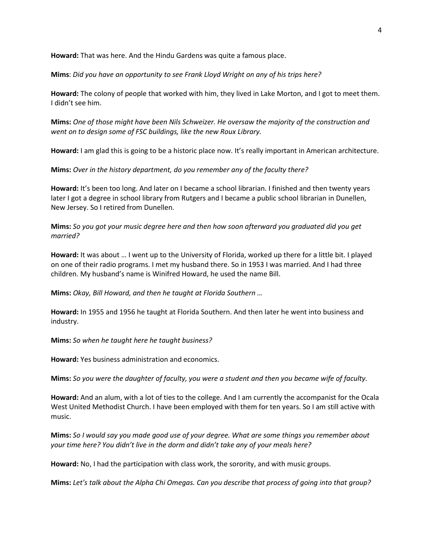**Howard:** That was here. And the Hindu Gardens was quite a famous place.

**Mims**: *Did you have an opportunity to see Frank Lloyd Wright on any of his trips here?*

**Howard:** The colony of people that worked with him, they lived in Lake Morton, and I got to meet them. I didn't see him.

**Mims:** *One of those might have been Nils Schweizer. He oversaw the majority of the construction and went on to design some of FSC buildings, like the new Roux Library.*

**Howard:** I am glad this is going to be a historic place now. It's really important in American architecture.

**Mims:** *Over in the history department, do you remember any of the faculty there?*

**Howard:** It's been too long. And later on I became a school librarian. I finished and then twenty years later I got a degree in school library from Rutgers and I became a public school librarian in Dunellen, New Jersey. So I retired from Dunellen.

**Mims:** *So you got your music degree here and then how soon afterward you graduated did you get married?*

**Howard:** It was about … I went up to the University of Florida, worked up there for a little bit. I played on one of their radio programs. I met my husband there. So in 1953 I was married. And I had three children. My husband's name is Winifred Howard, he used the name Bill.

**Mims:** *Okay, Bill Howard, and then he taught at Florida Southern …*

**Howard:** In 1955 and 1956 he taught at Florida Southern. And then later he went into business and industry.

**Mims:** *So when he taught here he taught business?*

**Howard:** Yes business administration and economics.

**Mims:** *So you were the daughter of faculty, you were a student and then you became wife of faculty.*

**Howard:** And an alum, with a lot of ties to the college. And I am currently the accompanist for the Ocala West United Methodist Church. I have been employed with them for ten years. So I am still active with music.

**Mims:** *So I would say you made good use of your degree. What are some things you remember about your time here? You didn't live in the dorm and didn't take any of your meals here?*

**Howard:** No, I had the participation with class work, the sorority, and with music groups.

**Mims:** *Let's talk about the Alpha Chi Omegas. Can you describe that process of going into that group?*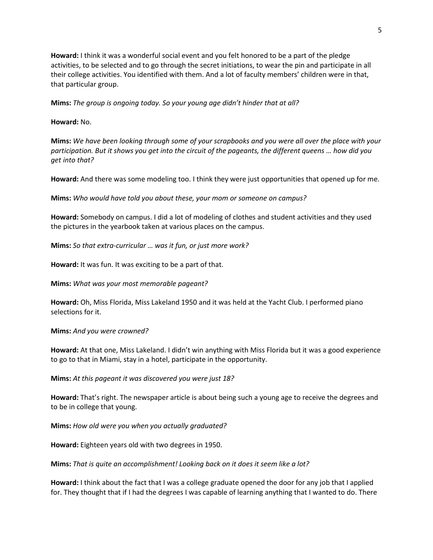**Howard:** I think it was a wonderful social event and you felt honored to be a part of the pledge activities, to be selected and to go through the secret initiations, to wear the pin and participate in all their college activities. You identified with them. And a lot of faculty members' children were in that, that particular group.

**Mims:** *The group is ongoing today. So your young age didn't hinder that at all?*

**Howard:** No.

**Mims:** *We have been looking through some of your scrapbooks and you were all over the place with your participation. But it shows you get into the circuit of the pageants, the different queens … how did you get into that?*

**Howard:** And there was some modeling too. I think they were just opportunities that opened up for me.

**Mims:** *Who would have told you about these, your mom or someone on campus?*

**Howard:** Somebody on campus. I did a lot of modeling of clothes and student activities and they used the pictures in the yearbook taken at various places on the campus.

**Mims:** *So that extra-curricular … was it fun, or just more work?*

**Howard:** It was fun. It was exciting to be a part of that.

**Mims:** *What was your most memorable pageant?*

**Howard:** Oh, Miss Florida, Miss Lakeland 1950 and it was held at the Yacht Club. I performed piano selections for it.

**Mims:** *And you were crowned?*

**Howard:** At that one, Miss Lakeland. I didn't win anything with Miss Florida but it was a good experience to go to that in Miami, stay in a hotel, participate in the opportunity.

**Mims:** *At this pageant it was discovered you were just 18?*

**Howard:** That's right. The newspaper article is about being such a young age to receive the degrees and to be in college that young.

**Mims:** *How old were you when you actually graduated?*

**Howard:** Eighteen years old with two degrees in 1950.

**Mims:** *That is quite an accomplishment! Looking back on it does it seem like a lot?*

**Howard:** I think about the fact that I was a college graduate opened the door for any job that I applied for. They thought that if I had the degrees I was capable of learning anything that I wanted to do. There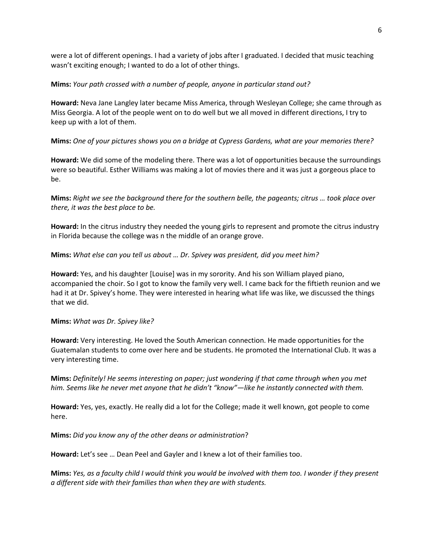were a lot of different openings. I had a variety of jobs after I graduated. I decided that music teaching wasn't exciting enough; I wanted to do a lot of other things.

### **Mims:** *Your path crossed with a number of people, anyone in particular stand out?*

**Howard:** Neva Jane Langley later became Miss America, through Wesleyan College; she came through as Miss Georgia. A lot of the people went on to do well but we all moved in different directions, I try to keep up with a lot of them.

## **Mims:** *One of your pictures shows you on a bridge at Cypress Gardens, what are your memories there?*

**Howard:** We did some of the modeling there. There was a lot of opportunities because the surroundings were so beautiful. Esther Williams was making a lot of movies there and it was just a gorgeous place to be.

**Mims:** *Right we see the background there for the southern belle, the pageants; citrus … took place over there, it was the best place to be.*

**Howard:** In the citrus industry they needed the young girls to represent and promote the citrus industry in Florida because the college was n the middle of an orange grove.

## **Mims:** *What else can you tell us about … Dr. Spivey was president, did you meet him?*

**Howard:** Yes, and his daughter [Louise] was in my sorority. And his son William played piano, accompanied the choir. So I got to know the family very well. I came back for the fiftieth reunion and we had it at Dr. Spivey's home. They were interested in hearing what life was like, we discussed the things that we did.

### **Mims:** *What was Dr. Spivey like?*

**Howard:** Very interesting. He loved the South American connection. He made opportunities for the Guatemalan students to come over here and be students. He promoted the International Club. It was a very interesting time.

**Mims:** *Definitely! He seems interesting on paper; just wondering if that came through when you met him. Seems like he never met anyone that he didn't "know"—like he instantly connected with them.*

**Howard:** Yes, yes, exactly. He really did a lot for the College; made it well known, got people to come here.

**Mims:** *Did you know any of the other deans or administration*?

**Howard:** Let's see … Dean Peel and Gayler and I knew a lot of their families too.

**Mims:** *Yes, as a faculty child I would think you would be involved with them too. I wonder if they present a different side with their families than when they are with students.*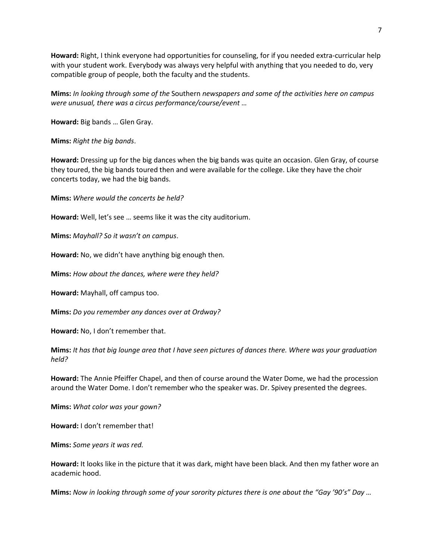**Howard:** Right, I think everyone had opportunities for counseling, for if you needed extra-curricular help with your student work. Everybody was always very helpful with anything that you needed to do, very compatible group of people, both the faculty and the students.

**Mims:** *In looking through some of the* Southern *newspapers and some of the activities here on campus were unusual, there was a circus performance/course/event …*

**Howard:** Big bands … Glen Gray.

**Mims:** *Right the big bands*.

**Howard:** Dressing up for the big dances when the big bands was quite an occasion. Glen Gray, of course they toured, the big bands toured then and were available for the college. Like they have the choir concerts today, we had the big bands.

**Mims:** *Where would the concerts be held?*

**Howard:** Well, let's see … seems like it was the city auditorium.

**Mims:** *Mayhall? So it wasn't on campus*.

**Howard:** No, we didn't have anything big enough then.

**Mims:** *How about the dances, where were they held?*

**Howard:** Mayhall, off campus too.

**Mims:** *Do you remember any dances over at Ordway?*

**Howard:** No, I don't remember that.

**Mims:** *It has that big lounge area that I have seen pictures of dances there. Where was your graduation held?*

**Howard:** The Annie Pfeiffer Chapel, and then of course around the Water Dome, we had the procession around the Water Dome. I don't remember who the speaker was. Dr. Spivey presented the degrees.

**Mims:** *What color was your gown?*

**Howard:** I don't remember that!

**Mims:** *Some years it was red.*

**Howard:** It looks like in the picture that it was dark, might have been black. And then my father wore an academic hood.

**Mims:** *Now in looking through some of your sorority pictures there is one about the "Gay '90's" Day …*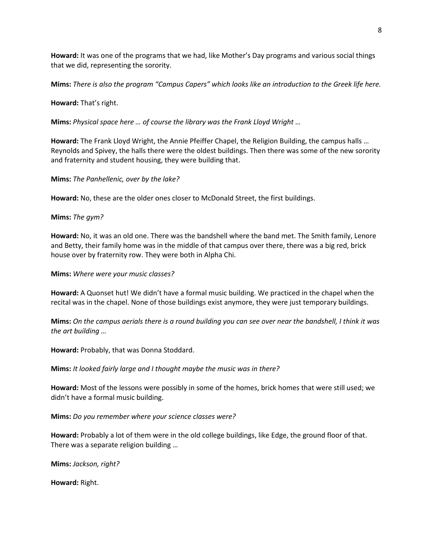**Howard:** It was one of the programs that we had, like Mother's Day programs and various social things that we did, representing the sorority.

**Mims:** *There is also the program "Campus Capers" which looks like an introduction to the Greek life here.*

#### **Howard:** That's right.

**Mims:** *Physical space here … of course the library was the Frank Lloyd Wright …*

**Howard:** The Frank Lloyd Wright, the Annie Pfeiffer Chapel, the Religion Building, the campus halls … Reynolds and Spivey, the halls there were the oldest buildings. Then there was some of the new sorority and fraternity and student housing, they were building that.

**Mims:** *The Panhellenic, over by the lake?*

**Howard:** No, these are the older ones closer to McDonald Street, the first buildings.

#### **Mims:** *The gym?*

**Howard:** No, it was an old one. There was the bandshell where the band met. The Smith family, Lenore and Betty, their family home was in the middle of that campus over there, there was a big red, brick house over by fraternity row. They were both in Alpha Chi.

**Mims:** *Where were your music classes?*

**Howard:** A Quonset hut! We didn't have a formal music building. We practiced in the chapel when the recital was in the chapel. None of those buildings exist anymore, they were just temporary buildings.

**Mims:** *On the campus aerials there is a round building you can see over near the bandshell, I think it was the art building …*

**Howard:** Probably, that was Donna Stoddard.

**Mims:** *It looked fairly large and I thought maybe the music was in there?*

**Howard:** Most of the lessons were possibly in some of the homes, brick homes that were still used; we didn't have a formal music building.

**Mims:** *Do you remember where your science classes were?*

**Howard:** Probably a lot of them were in the old college buildings, like Edge, the ground floor of that. There was a separate religion building …

**Mims:** *Jackson, right?*

**Howard:** Right.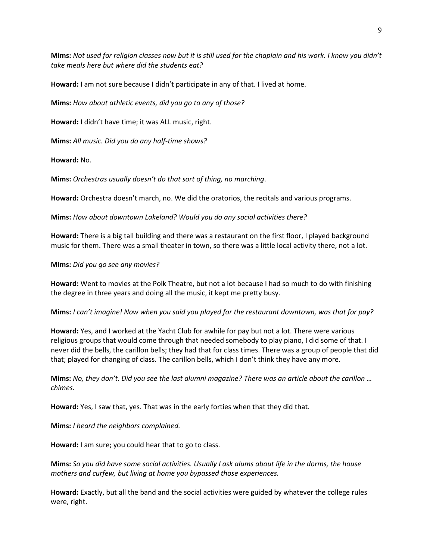**Mims:** *Not used for religion classes now but it is still used for the chaplain and his work. I know you didn't take meals here but where did the students eat?*

**Howard:** I am not sure because I didn't participate in any of that. I lived at home.

**Mims:** *How about athletic events, did you go to any of those?*

**Howard:** I didn't have time; it was ALL music, right.

**Mims:** *All music. Did you do any half-time shows?*

**Howard:** No.

**Mims:** *Orchestras usually doesn't do that sort of thing, no marching*.

**Howard:** Orchestra doesn't march, no. We did the oratorios, the recitals and various programs.

**Mims:** *How about downtown Lakeland? Would you do any social activities there?*

**Howard:** There is a big tall building and there was a restaurant on the first floor, I played background music for them. There was a small theater in town, so there was a little local activity there, not a lot.

**Mims:** *Did you go see any movies?*

**Howard:** Went to movies at the Polk Theatre, but not a lot because I had so much to do with finishing the degree in three years and doing all the music, it kept me pretty busy.

**Mims:** *I can't imagine! Now when you said you played for the restaurant downtown, was that for pay?*

**Howard:** Yes, and I worked at the Yacht Club for awhile for pay but not a lot. There were various religious groups that would come through that needed somebody to play piano, I did some of that. I never did the bells, the carillon bells; they had that for class times. There was a group of people that did that; played for changing of class. The carillon bells, which I don't think they have any more.

**Mims:** *No, they don't. Did you see the last alumni magazine? There was an article about the carillon … chimes.*

**Howard:** Yes, I saw that, yes. That was in the early forties when that they did that.

**Mims:** *I heard the neighbors complained.*

**Howard:** I am sure; you could hear that to go to class.

**Mims:** *So you did have some social activities. Usually I ask alums about life in the dorms, the house mothers and curfew, but living at home you bypassed those experiences.*

**Howard:** Exactly, but all the band and the social activities were guided by whatever the college rules were, right.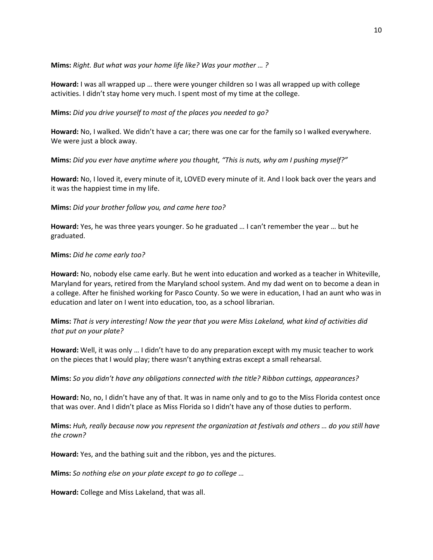**Mims:** *Right. But what was your home life like? Was your mother … ?*

**Howard:** I was all wrapped up … there were younger children so I was all wrapped up with college activities. I didn't stay home very much. I spent most of my time at the college.

**Mims:** *Did you drive yourself to most of the places you needed to go?*

**Howard:** No, I walked. We didn't have a car; there was one car for the family so I walked everywhere. We were just a block away.

**Mims:** *Did you ever have anytime where you thought, "This is nuts, why am I pushing myself?"*

**Howard:** No, I loved it, every minute of it, LOVED every minute of it. And I look back over the years and it was the happiest time in my life.

**Mims:** *Did your brother follow you, and came here too?*

**Howard:** Yes, he was three years younger. So he graduated … I can't remember the year … but he graduated.

### **Mims:** *Did he come early too?*

**Howard:** No, nobody else came early. But he went into education and worked as a teacher in Whiteville, Maryland for years, retired from the Maryland school system. And my dad went on to become a dean in a college. After he finished working for Pasco County. So we were in education, I had an aunt who was in education and later on I went into education, too, as a school librarian.

**Mims:** *That is very interesting! Now the year that you were Miss Lakeland, what kind of activities did that put on your plate?*

**Howard:** Well, it was only … I didn't have to do any preparation except with my music teacher to work on the pieces that I would play; there wasn't anything extras except a small rehearsal.

**Mims:** *So you didn't have any obligations connected with the title? Ribbon cuttings, appearances?*

**Howard:** No, no, I didn't have any of that. It was in name only and to go to the Miss Florida contest once that was over. And I didn't place as Miss Florida so I didn't have any of those duties to perform.

**Mims:** *Huh, really because now you represent the organization at festivals and others … do you still have the crown?*

**Howard:** Yes, and the bathing suit and the ribbon, yes and the pictures.

**Mims:** *So nothing else on your plate except to go to college …*

**Howard:** College and Miss Lakeland, that was all.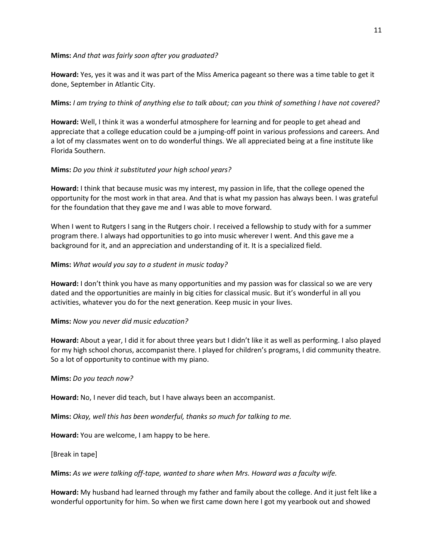### **Mims:** *And that was fairly soon after you graduated?*

**Howard:** Yes, yes it was and it was part of the Miss America pageant so there was a time table to get it done, September in Atlantic City.

# **Mims:** *I am trying to think of anything else to talk about; can you think of something I have not covered?*

**Howard:** Well, I think it was a wonderful atmosphere for learning and for people to get ahead and appreciate that a college education could be a jumping-off point in various professions and careers. And a lot of my classmates went on to do wonderful things. We all appreciated being at a fine institute like Florida Southern.

# **Mims:** *Do you think it substituted your high school years?*

**Howard:** I think that because music was my interest, my passion in life, that the college opened the opportunity for the most work in that area. And that is what my passion has always been. I was grateful for the foundation that they gave me and I was able to move forward.

When I went to Rutgers I sang in the Rutgers choir. I received a fellowship to study with for a summer program there. I always had opportunities to go into music wherever I went. And this gave me a background for it, and an appreciation and understanding of it. It is a specialized field.

# **Mims:** *What would you say to a student in music today?*

**Howard:** I don't think you have as many opportunities and my passion was for classical so we are very dated and the opportunities are mainly in big cities for classical music. But it's wonderful in all you activities, whatever you do for the next generation. Keep music in your lives.

## **Mims:** *Now you never did music education?*

**Howard:** About a year, I did it for about three years but I didn't like it as well as performing. I also played for my high school chorus, accompanist there. I played for children's programs, I did community theatre. So a lot of opportunity to continue with my piano.

## **Mims:** *Do you teach now?*

**Howard:** No, I never did teach, but I have always been an accompanist.

**Mims:** *Okay, well this has been wonderful, thanks so much for talking to me.*

**Howard:** You are welcome, I am happy to be here.

[Break in tape]

**Mims:** *As we were talking off-tape, wanted to share when Mrs. Howard was a faculty wife.*

**Howard:** My husband had learned through my father and family about the college. And it just felt like a wonderful opportunity for him. So when we first came down here I got my yearbook out and showed